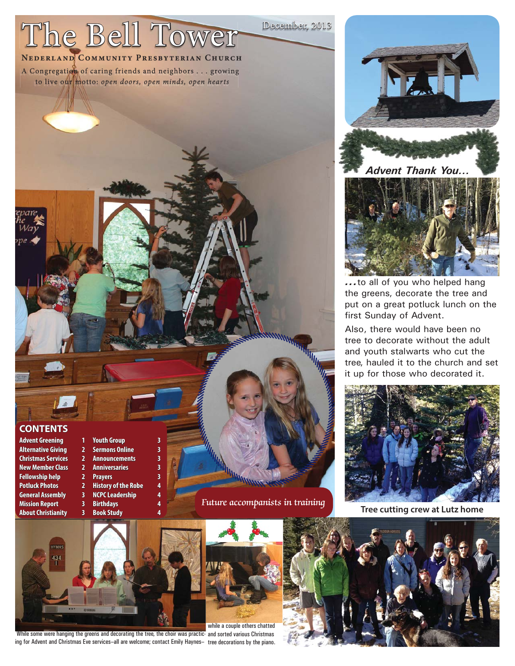# The Bell Tower

**NEDERLAND COMMUNITY PRESBYTERIAN CHURCH** A Congregation of caring friends and neighbors . . . growing to live our motto: open doors, open minds, open hearts

# **CONTENTS ONTENTS**

**New Member Class 2 Anniversaries Fellowship help ellowship 2 Prayers 3 General Assembly 3 Mission Report 3** Birthdays

**Advent Greening dvent 1 Youth Group outh 3 Alternative Giving lternative 2 Sermons Online ermons 3 Christmas Services 2 Announcements** 3 **Potluck Photos outlet 2 History of the Robe**<br>**General Assembly 3 NCPC Leadership About Christianity by 3 Book Study** 

Future accompanists in training

December, 2013





*...*to all of you who helped hang the greens, decorate the tree and put on a great potluck lunch on the first Sunday of Advent.

Also, there would have been no tree to decorate without the adult and youth stalwarts who cut the tree, hauled it to the church and set it up for those who decorated it.



**Tree cutting crew at Lutz home**



While some were hanging the greens and decorating the tree, the choir was practic- and sorted various Christmas ing for Advent and Christmas Eve services–all are welcome; contact Emily Haynes– tree decorations by the piano.

while a couple others chatted

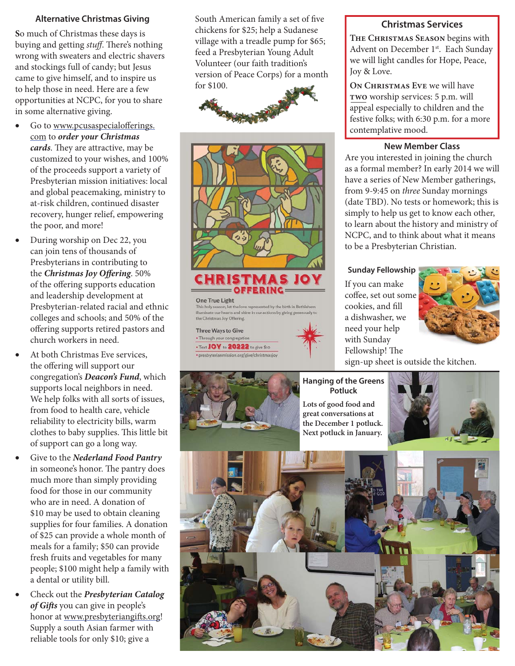# **Alternative Christmas Giving**

**S**o much of Christmas these days is buying and getting stuff. There's nothing wrong with sweaters and electric shavers and stockings full of candy; but Jesus came to give himself, and to inspire us to help those in need. Here are a few opportunities at NCPC, for you to share in some alternative giving.

- $\bullet$  Go to www.pcusaspecialofferings. com to *order your Christmas cards*. They are attractive, may be customized to your wishes, and 100% of the proceeds support a variety of Presbyterian mission initiatives: local and global peacemaking, ministry to at-risk children, continued disaster recovery, hunger relief, empowering the poor, and more!
- During worship on Dec 22, you can join tens of thousands of Presbyterians in contributing to the *Christmas Joy Offering*. 50% of the offering supports education and leadership development at Presbyterian-related racial and ethnic colleges and schools; and 50% of the offering supports retired pastors and church workers in need.
- At both Christmas Eve services, the offering will support our congregation's *Deacon's Fund*, which supports local neighbors in need. We help folks with all sorts of issues, from food to health care, vehicle reliability to electricity bills, warm clothes to baby supplies. This little bit of support can go a long way.
- Give to the *Nederland Food Pantry* in someone's honor. The pantry does much more than simply providing food for those in our community who are in need. A donation of \$10 may be used to obtain cleaning supplies for four families. A donation of \$25 can provide a whole month of meals for a family; \$50 can provide fresh fruits and vegetables for many people; \$100 might help a family with a dental or utility bill.
- Check out the *Presbyterian Catalog*  of Gifts you can give in people's honor at www.presbyteriangifts.org! Supply a south Asian farmer with reliable tools for only \$10; give a

South American family a set of five chickens for \$25; help a Sudanese village with a treadle pump for \$65; feed a Presbyterian Young Adult Volunteer (our faith tradition's version of Peace Corps) for a month for \$100. \$100.





**One True Light** This holy season, let the love represented by the birth in Bethlehem illuminate our hearts and shine in our actions by giving gethe Christmas Joy Offering.

OFFERING

**Three Ways to Give** . Through your congregation • Text JOY to 20222 to give \$10 · presbyterianmission.org/give/christmasjoy

#### **Christmas Services**

**The Christmas Season** begins with Advent on December 1<sup>st</sup>. Each Sunday we will light candles for Hope, Peace, Joy & Love.

**On Christmas Eve** we will have **two** worship services: 5 p.m. will appeal especially to children and the festive folks; with 6:30 p.m. for a more contemplative mood.

#### **New Member Class**

Are you interested in joining the church as a formal member? In early 2014 we will have a series of New Member gatherings, from 9-9:45 on three Sunday mornings (date TBD). No tests or homework; this is simply to help us get to know each other, to learn about the history and ministry of NCPC, and to think about what it means to be a Presbyterian Christian.

#### **Sunday Fellowship**

If you can make coffee, set out some cookies, and fill a dishwasher, we need your help with Sunday Fellowship! The



sign-up sheet is outside the kitchen.

# **Hanging of the Greens Potluck**

**Lots of good food and great conversations at the December 1 potluck. Next potluck in January.** 



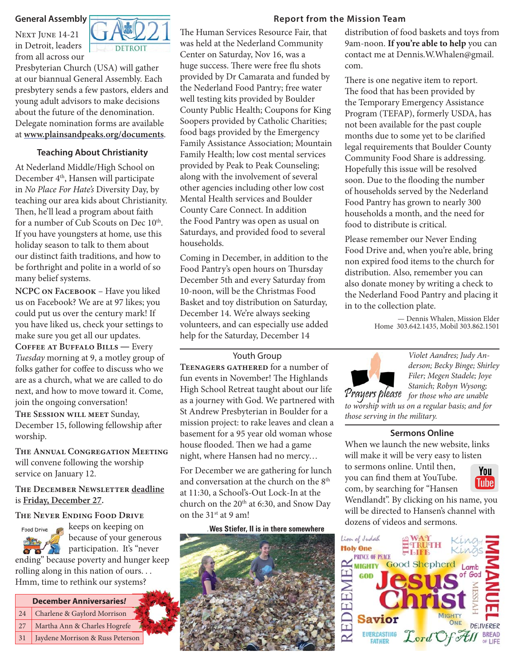#### **General Assembly**

NEXT JUNE 14-21 in Detroit, leaders from all across our



Presbyterian Church (USA) will gather at our biannual General Assembly. Each presbytery sends a few pastors, elders and young adult advisors to make decisions about the future of the denomination. Delegate nomination forms are available at **www.plainsandpeaks.org/documents**.

# **Teaching About Christianity**

At Nederland Middle/High School on December 4<sup>th</sup>, Hansen will participate in No Place For Hate's Diversity Day, by teaching our area kids about Christianity. Then, he'll lead a program about faith for a number of Cub Scouts on Dec 10<sup>th</sup>. If you have youngsters at home, use this holiday season to talk to them about our distinct faith traditions, and how to be forthright and polite in a world of so many belief systems.

**NCPC on Facebook** – Have you liked us on Facebook? We are at 97 likes; you could put us over the century mark! If you have liked us, check your settings to make sure you get all our updates.

**Coffee at Buffalo Bills** ― Every Tuesday morning at 9, a motley group of folks gather for coffee to discuss who we are as a church, what we are called to do next, and how to move toward it. Come, join the ongoing conversation!

December 15, following fellowship after worship.

**The Annual Congregation Meeting** will convene following the worship service on January 12.

# **THE DECEMBER NEWSLETTER deadline** is **Friday, December 27.**

# **The Never Ending Food Drive**

keeps on keeping on Food Drive because of your generous participation. It's "never ending" because poverty and hunger keep rolling along in this nation of ours. . . Hmm, time to rethink our systems?

# **December Anniversaries***!*

- 24 Charlene & Gaylord Morrison
- 27 Martha Ann & Charles Hogrefe
- 31 Jaydene Morrison & Russ Peterson

# **Report from the Mission Team**

The Human Services Resource Fair, that was held at the Nederland Community Center on Saturday, Nov 16, was a huge success. There were free flu shots provided by Dr Camarata and funded by the Nederland Food Pantry; free water well testing kits provided by Boulder County Public Health; Coupons for King Soopers provided by Catholic Charities; food bags provided by the Emergency Family Assistance Association; Mountain Family Health; low cost mental services provided by Peak to Peak Counseling; along with the involvement of several other agencies including other low cost Mental Health services and Boulder County Care Connect. In addition the Food Pantry was open as usual on Saturdays, and provided food to several households.

Coming in December, in addition to the Food Pantry's open hours on Thursday December 5th and every Saturday from 10-noon, will be the Christmas Food Basket and toy distribution on Saturday, December 14. We're always seeking volunteers, and can especially use added help for the Saturday, December 14

#### Youth Group

**Teenagers gathered** for a number of fun events in November! The Highlands High School Retreat taught about our life as a journey with God. We partnered with For the St Andrew Presbyterian in Boulder for a toworship with us on a regular basis; and for the SESSION WILL MEET Sunday, St Andrew Presbyterian in Boulder for a those serving in the military. mission project: to rake leaves and clean a basement for a 95 year old woman whose house flooded. Then we had a game night, where Hansen had no mercy…

> For December we are gathering for lunch and conversation at the church on the 8<sup>th</sup> at 11:30, a School's-Out Lock-In at the church on the 20<sup>th</sup> at 6:30, and Snow Day on the 31st at 9 am!

#### **dWes Stiefer, II is in there somewhere**



distribution of food baskets and toys from 9am-noon. **If you're able to help** you can contact me at Dennis.W.Whalen@gmail. com.

There is one negative item to report. The food that has been provided by the Temporary Emergency Assistance Program (TEFAP), formerly USDA, has not been available for the past couple months due to some yet to be clarified legal requirements that Boulder County Community Food Share is addressing. Hopefully this issue will be resolved soon. Due to the flooding the number of households served by the Nederland Food Pantry has grown to nearly 300 households a month, and the need for food to distribute is critical.

Please remember our Never Ending Food Drive and, when you're able, bring non expired food items to the church for distribution. Also, remember you can also donate money by writing a check to the Nederland Food Pantry and placing it in to the collection plate.

> — Dennis Whalen, Mission Elder Home 303.642.1435, Mobil 303.862.1501



Violet Aandres; Judy Anderson; Becky Binge; Shirley Filer; Megen Stadele; Joye Stanich; Robyn Wysong;

Prayers please for those who are unable

#### **Sermons Online**

When we launch the new website, links will make it will be very easy to listen

to sermons online. Until then, you can find them at YouTube. com, by searching for "Hansen



Wendlandt". By clicking on his name, you will be directed to Hansen's channel with dozens of videos and sermons.